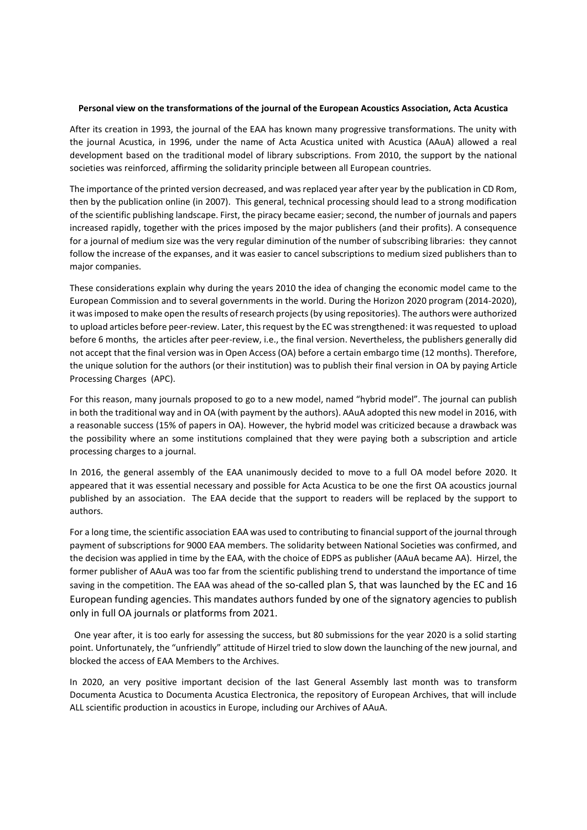## **Personal view on the transformations of the journal of the European Acoustics Association, Acta Acustica**

After its creation in 1993, the journal of the EAA has known many progressive transformations. The unity with the journal Acustica, in 1996, under the name of Acta Acustica united with Acustica (AAuA) allowed a real development based on the traditional model of library subscriptions. From 2010, the support by the national societies was reinforced, affirming the solidarity principle between all European countries.

The importance of the printed version decreased, and was replaced year after year by the publication in CD Rom, then by the publication online (in 2007). This general, technical processing should lead to a strong modification of the scientific publishing landscape. First, the piracy became easier; second, the number of journals and papers increased rapidly, together with the prices imposed by the major publishers (and their profits). A consequence for a journal of medium size was the very regular diminution of the number of subscribing libraries: they cannot follow the increase of the expanses, and it was easier to cancel subscriptions to medium sized publishers than to major companies.

These considerations explain why during the years 2010 the idea of changing the economic model came to the European Commission and to several governments in the world. During the Horizon 2020 program (2014-2020), it was imposed to make open the results of research projects (by using repositories). The authors were authorized to upload articles before peer-review. Later, this request by the EC was strengthened: it was requested to upload before 6 months, the articles after peer-review, i.e., the final version. Nevertheless, the publishers generally did not accept that the final version was in Open Access (OA) before a certain embargo time (12 months). Therefore, the unique solution for the authors (or their institution) was to publish their final version in OA by paying Article Processing Charges (APC).

For this reason, many journals proposed to go to a new model, named "hybrid model". The journal can publish in both the traditional way and in OA (with payment by the authors). AAuA adopted this new model in 2016, with a reasonable success (15% of papers in OA). However, the hybrid model was criticized because a drawback was the possibility where an some institutions complained that they were paying both a subscription and article processing charges to a journal.

In 2016, the general assembly of the EAA unanimously decided to move to a full OA model before 2020. It appeared that it was essential necessary and possible for Acta Acustica to be one the first OA acoustics journal published by an association. The EAA decide that the support to readers will be replaced by the support to authors.

For a long time, the scientific association EAA was used to contributing to financial support of the journal through payment of subscriptions for 9000 EAA members. The solidarity between National Societies was confirmed, and the decision was applied in time by the EAA, with the choice of EDPS as publisher (AAuA became AA). Hirzel, the former publisher of AAuA was too far from the scientific publishing trend to understand the importance of time saving in the competition. The EAA was ahead of the so-called plan S, that was launched by the EC and 16 European funding agencies. This mandates authors funded by one of the signatory agencies to publish only in full OA journals or platforms from 2021.

 One year after, it is too early for assessing the success, but 80 submissions for the year 2020 is a solid starting point. Unfortunately, the "unfriendly" attitude of Hirzel tried to slow down the launching of the new journal, and blocked the access of EAA Members to the Archives.

In 2020, an very positive important decision of the last General Assembly last month was to transform Documenta Acustica to Documenta Acustica Electronica, the repository of European Archives, that will include ALL scientific production in acoustics in Europe, including our Archives of AAuA.